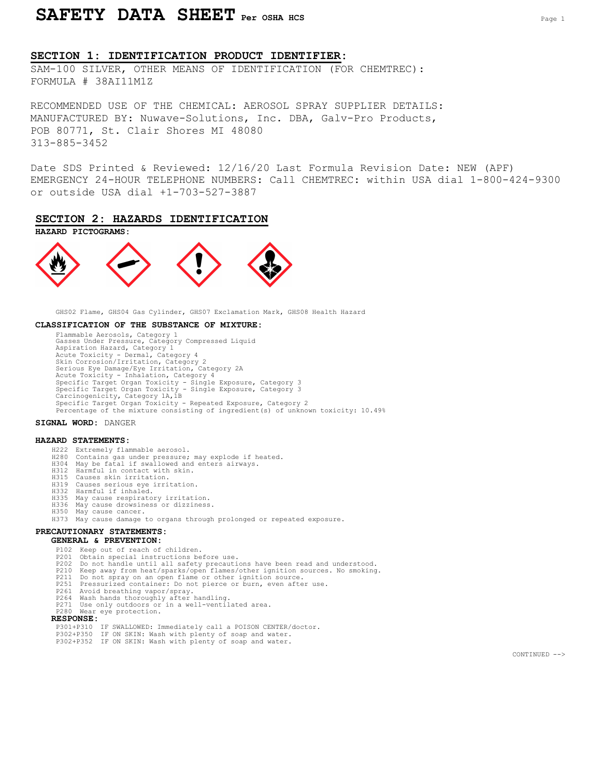# SAFETY DATA SHEET Per OSHA HCS PAGE 1

## SECTION 1: IDENTIFICATION PRODUCT IDENTIFIER:

SAM-100 SILVER, OTHER MEANS OF IDENTIFICATION (FOR CHEMTREC): FORMULA # 38AI11M1Z

RECOMMENDED USE OF THE CHEMICAL: AEROSOL SPRAY SUPPLIER DETAILS: MANUFACTURED BY: Nuwave-Solutions, Inc. DBA, Galv-Pro Products, POB 80771, St. Clair Shores MI 48080 313-885-3452

Date SDS Printed & Reviewed: 12/16/20 Last Formula Revision Date: NEW (APF) EMERGENCY 24-HOUR TELEPHONE NUMBERS: Call CHEMTREC: within USA dial 1-800-424-9300 or outside USA dial +1-703-527-3887

## SECTION 2: HAZARDS IDENTIFICATION



GHS02 Flame, GHS04 Gas Cylinder, GHS07 Exclamation Mark, GHS08 Health Hazard

#### CLASSIFICATION OF THE SUBSTANCE OF MIXTURE:

Flammable Aerosols, Category 1 Gasses Under Pressure, Category Compressed Liquid Aspiration Hazard, Category 1 Acute Toxicity - Dermal, Category 4 Skin Corrosion/Irritation, Category 2<br>Serious Eye Damage/Eye Irritation, Category 2A<br>Acute Toxicity - Inhalation, Category 4<br>Specific Target Organ Toxicity - Single Exposure, Category 3<br>Specific Target Organ Toxicity - Sin Specific Target Organ Toxicity - Repeated Exposure, Category 2 Percentage of the mixture consisting of ingredient(s) of unknown toxicity: 10.49%

#### SIGNAL WORD: DANGER

#### HAZARD STATEMENTS:

- H222 Extremely flammable aerosol.
- 
- H280 Contains gas under pressure; may explode if heated. H304 May be fatal if swallowed and enters airways.
- H312 Harmful in contact with skin.
- H315 Causes skin irritation. H319 Causes serious eye irritation.
- 
- H332 Harmful if inhaled.
- H335 May cause respiratory irritation. H336 May cause drowsiness or dizziness.
- H350 May cause cancer.
- H373 May cause damage to organs through prolonged or repeated exposure.

## PRECAUTIONARY STATEMENTS:

- GENERAL & PREVENTION:
- P102 Keep out of reach of children.<br>P201 Obtain special instructions be
- Obtain special instructions before use.
- P202 Do not handle until all safety precautions have been read and understood. P210 Keep away from heat/sparks/open flames/other ignition sources. No smoking.
- 
- P211 Do not spray on an open flame or other ignition source.
- 
- 
- P251 Pressurized container: Do not pierce or burn, even after use. P261 Avoid breathing vapor/spray. P264 Wash hands thoroughly after handling. P271 Use only outdoors or in a well-ventilated area.
- P280 Wear eye protection.

#### RESPONSE:

- P301+P310 IF SWALLOWED: Immediately call a POISON CENTER/doctor.
- P302+P350 IF ON SKIN: Wash with plenty of soap and water.
- P302+P352 IF ON SKIN: Wash with plenty of soap and water.

CONTINUED -->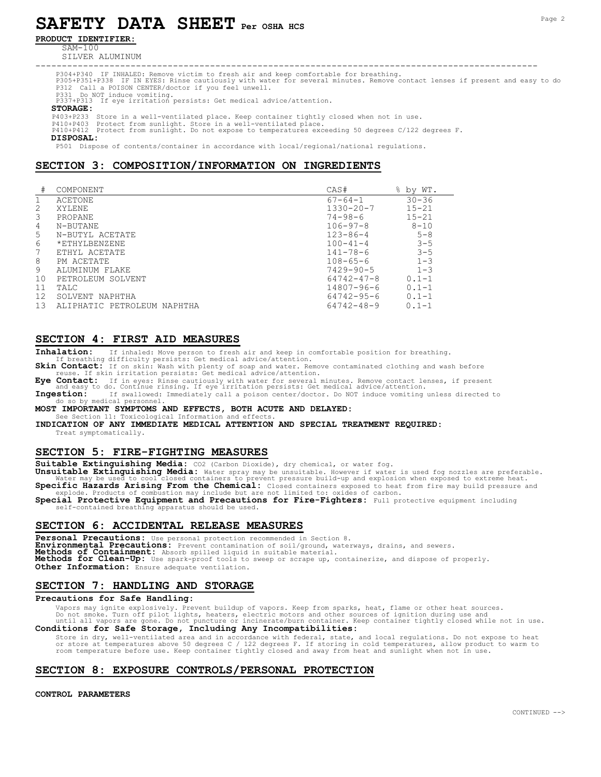# SAFETY DATA SHEET Per OSHA HCS

### PRODUCT IDENTIFIER:

SAM-100

SILVER ALUMINUM

----------------------------------------------------------------------------------------------- P304+P340 IF INHALED: Remove victim to fresh air and keep comfortable for breathing. P305+P351+P338 IF IN EYES: Rinse cautiously with water for several minutes. Remove contact lenses if present and easy to do P312 Call a POISON CENTER/doctor if you feel unwell.

P331 Do NOT induce vomiting. P337+P313 If eye irritation persists: Get medical advice/attention.

#### STORAGE:

P403+P233 Store in a well-ventilated place. Keep container tightly closed when not in use.<br>P410+P403 Protect from sunlight. Store in a well-ventilated place.<br>P410+P412 Protect from sunlight. Do not expose to temperature

DISPOSAL:

P501 Dispose of contents/container in accordance with local/regional/national regulations.

## SECTION 3: COMPOSITION/INFORMATION ON INGREDIENTS

| #  | COMPONENT                   | CAS#            | $\approx$<br>by WT. |
|----|-----------------------------|-----------------|---------------------|
|    |                             |                 |                     |
|    | ACETONE                     | $67 - 64 - 1$   | $30 - 36$           |
| 2  | <b>XYLENE</b>               | $1330 - 20 - 7$ | $15 - 21$           |
| 3  | <b>PROPANE</b>              | $74 - 98 - 6$   | $15 - 21$           |
| 4  | N-BUTANE                    | $106 - 97 - 8$  | $8 - 10$            |
| 5  | N-BUTYL ACETATE             | $123 - 86 - 4$  | $5 - 8$             |
| 6  | *ETHYLBENZENE               | $100 - 41 - 4$  | $3 - 5$             |
| 7  | ETHYL ACETATE               | $141 - 78 - 6$  | $3 - 5$             |
| 8  | PM ACETATE                  | $108 - 65 - 6$  | $1 - 3$             |
| 9  | ALUMINUM FLAKE              | $7429 - 90 - 5$ | $1 - 3$             |
| 10 | PETROLEUM SOLVENT           | 64742-47-8      | $0.1 - 1$           |
| 11 | TALC                        | 14807-96-6      | $0.1 - 1$           |
| 12 | SOLVENT NAPHTHA             | 64742-95-6      | $0.1 - 1$           |
| 13 | ALIPHATIC PETROLEUM NAPHTHA | 64742-48-9      | $0.1 - 1$           |

## SECTION 4: FIRST AID MEASURES

Inhalation: If inhaled: Move person to fresh air and keep in comfortable position for breathing.

If breathing difficulty persists: Get medical advice/attention.

Skin Contact: If on skin: Wash with plenty of soap and water. Remove contaminated clothing and wash before reuse. If skin irritation persists: Get medical advice/attention.<br> **Eve Contact:** If in eves: Rinse cautiously with water for several

Eye Contact: If in eyes: Rinse cautiously with water for several minutes. Remove contact lenses, if present and easy to do. Continue rinsing. If eye irritation persists: Get medical advice/attention.

Ingestion: If swallowed: Immediately call a poison center/doctor. Do NOT induce vomiting unless directed to do so by medical personnel.

MOST IMPORTANT SYMPTOMS AND EFFECTS, BOTH ACUTE AND DELAYED:

See Section 11: Toxicological Information and effect

INDICATION OF ANY IMMEDIATE MEDICAL ATTENTION AND SPECIAL TREATMENT REQUIRED: Treat symptomatically.

#### SECTION 5: FIRE-FIGHTING MEASURES

Suitable Extinguishing Media: CO2 (Carbon Dioxide), dry chemical, or water fog.

Unsuitable Extinguishing Media: Water spray may be unsuitable. However if water is used fog nozzles are preferable.<br>Water may be used to cool closed containers to prevent pressure build-up and explosion when exposed to ext Specific Hazards Arising From the Chemical: Closed containers exposed to heat from fire may build pressure and

explode. Products of combustion may include but are not limited to: oxides of carbon.<br>Special Protective Equipment and Precautions for Fire-Fighters: Full protective equipment including self-contained breathing apparatus should be used

## SECTION 6: ACCIDENTAL RELEASE MEASURES

Personal Precautions: Use personal protection recommended in Section 8.<br>Environmental Precautions: Prevent contamination of soil/ground, waterways, drains, and sewers. Methods of Containment: Absorb spilled liquid in suitable material. Methods for Clean-Up: Use spark-proof tools to sweep or scrape up, containerize, and dispose of properly. Other Information: Ensure adequate ventilation.

## SECTION 7: HANDLING AND STORAGE

#### Precautions for Safe Handling:

Vapors may ignite explosively. Prevent buildup of vapors. Keep from sparks, heat, flame or other heat sources.<br>Do not smoke. Turn off pilot lights, heaters, electric motors and other sources of ignition during use and<br>unti Conditions for Safe Storage, Including Any Incompatibilities:

Store in dry, well-ventilated area and in accordance with federal, state, and local regulations. Do not expose to heat or store at temperatures above 50 degrees C / 122 degrees F. If storing in cold temperatures, allow product to warm to room temperature before use. Keep container tightly closed and away from heat and sunlight when not in use.

## SECTION 8: EXPOSURE CONTROLS/PERSONAL PROTECTION

CONTROL PARAMETERS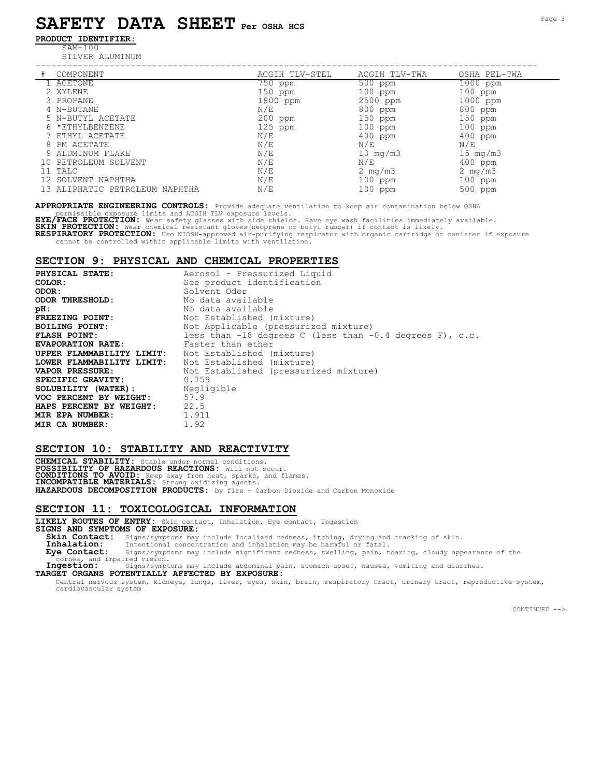# SAFETY DATA SHEET Per OSHA HCS

## PRODUCT IDENTIFIER:

SAM-100

SILVER ALUMINUM

| ) IVI ′ | ___ | ⊥ 7 7 ⊥ ⊥<br>____ | <b>TTTAT</b> |
|---------|-----|-------------------|--------------|

| 1 ACETONE                      | 750 ppm   | 500 ppm                    | 1000 ppm            |
|--------------------------------|-----------|----------------------------|---------------------|
| 2 XYLENE                       | $150$ ppm | $100$ ppm                  | $100$ ppm           |
| 3 PROPANE                      | 1800 ppm  | 2500 ppm                   | 1000 ppm            |
| 4 N-BUTANE                     | N/E       | 800 ppm                    | 800 ppm             |
| 5 N-BUTYL ACETATE              | $200$ ppm | $150$ ppm                  | $150$ ppm           |
| 6 *ETHYLBENZENE                | $125$ ppm | $100$ ppm                  | $100$ ppm           |
| 7 ETHYL ACETATE                | N/E       | $400$ ppm                  | $400$ ppm           |
| 8 PM ACETATE                   | N/E       | N/E                        | N/E                 |
| 9 ALUMINUM FLAKE               | N/E       | $10 \text{ mg}/\text{m}$ 3 | $15 \text{ mg/m}$ 3 |
| 10 PETROLEUM SOLVENT           | N/E       | N/E                        | $400$ ppm           |
| 11 TALC                        | N/E       | 2 $mq/m3$                  | 2 $mq/m3$           |
| 12 SOLVENT NAPHTHA             | N/E       | $100$ ppm                  | $100$ ppm           |
| 13 ALIPHATIC PETROLEUM NAPHTHA | N/E       | 100 ppm                    | 500 ppm             |
|                                |           |                            |                     |

APPROPRIATE ENGINEERING CONTROLS: Provide adequate ventilation to keep air contamination below OSHA

permissible exposure limits and ACGIH TLV exposure levels.<br>**EYE/FACE PROTECTION:** Wear safety glasses with side shields. Have eye wash facilities immediately available.<br>**SKIN PROTECTION:** Wear chemical resistant gloves(neo

RESPIRATORY PROTECTION: Use NIOSH-approved air-purifying respirator with organic cartridge or canister if exposure<br>cannot be controlled within applicable limits with ventilation.

## SECTION 9: PHYSICAL AND CHEMICAL PROPERTIES

PHYSICAL STATE: Aerosol - Pressurized Liquid COLOR: See product identification **ODOR:** Solvent Odor<br> **CDOR THRESHOLD:** No data avai No data available pH:<br>
FREEZING POINT: Not Established ( FREEZING POINT: Not Established (mixture)<br>
BOILING POINT: Not Applicable (pressuriz Not Applicable (pressurized mixture) FLASH POINT: less than -18 degrees C (less than -0.4 degrees F), c.c.<br>EVAPORATION RATE: Faster than ether Faster than ether UPPER FLAMMABILITY LIMIT: Not Established (mixture)<br>LOWER FLAMMABILITY LIMIT: Not Established (mixture) LOWER FLAMMABILITY LIMIT:<br>VAPOR PRESSURE: Not Established (pressurized mixture) SPECIFIC GRAVITY: 0.759<br>
SOLUBILITY (WATER): Negligible SOLUBILITY (WATER): Neglight Neglight (WATER)<br>VOC PERCENT BY WEIGHT: 57.9 VOC PERCENT BY WEIGHT: 57.9<br>HAPS PERCENT BY WEIGHT: 22.5 **HAPS PERCENT BY WEIGHT: 22.5**<br>**MIR EPA NUMBER:** 1.911 MIR EPA NUMBER: MIR CA NUMBER: 1.92

#### SECTION 10: STABILITY AND REACTIVITY

CHEMICAL STABILITY: Stable under normal conditions.<br>POSSIBILITY OF HAZARDOUS REACTIONS: Will not occur.<br>CONDITIONS TO AVOID: Keep away from heat, sparks, and flames.<br>INCOMPATIBLE MATERIALS: Strong oxidizing agents. HAZARDOUS DECOMPOSITION PRODUCTS: by fire - Carbon Dioxide and Carbon Monoxide

#### SECTION 11: TOXICOLOGICAL INFORMATION

LIKELY ROUTES OF ENTRY: Skin contact, Inhalation, Eye contact, Ingestion SIGNS AND SYMPTOMS OF EXPOSURE:

Skin Contact: Signs/symptoms may include localized redness, itching, drying and cracking of skin.<br>Inhalation: Intentional concentration and inhalation may be harmful or fatal.

**Inhalation:** Intentional concentration and inhalation may be harmful or fatal.<br>**Eye Contact:** Signs/symptoms may include significant redness, swelling, pain, t Signs/symptoms may include significant redness, swelling, pain, tearing, cloudy appearance of the cornea, and impaired vision.

Ingestion: Signs/symptoms may include abdominal pain, stomach upset, nausea, vomiting and diarrhea.

TARGET ORGANS POTENTIALLY AFFECTED BY EXPOSURE:

Central nervous system, kidneys, lungs, liver, eyes, skin, brain, respiratory tract, urinary tract, reproductive system, cardiovascular system